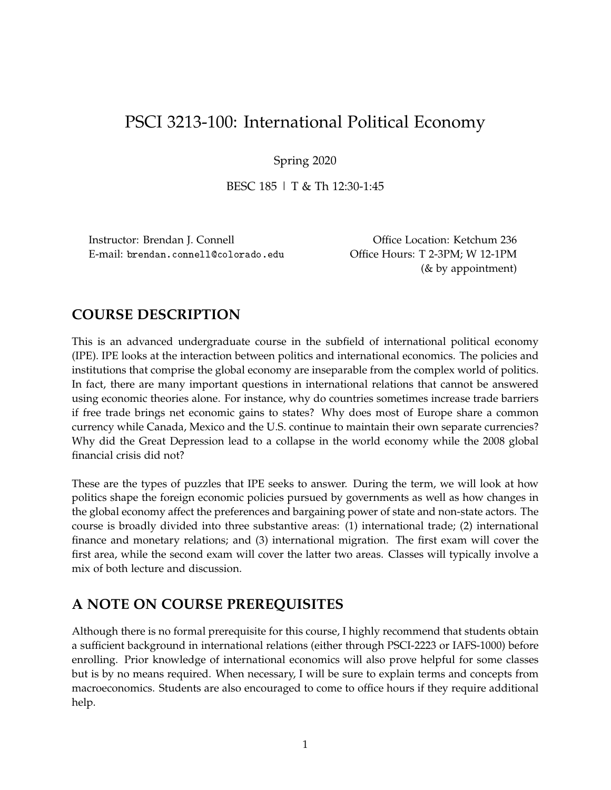# PSCI 3213-100: International Political Economy

Spring 2020

BESC 185 | T & Th 12:30-1:45

Instructor: Brendan J. Connell **Call Connell Connell Connell Connell** Connell Connell Connell Connell Connell Connell Connell Connell Connell Connell Connell Connell Connell Connell Connell Connell Connell Connell Connell E-mail: brendan.connell@colorado.edu Office Hours: T 2-3PM; W 12-1PM

(& by appointment)

# **COURSE DESCRIPTION**

This is an advanced undergraduate course in the subfield of international political economy (IPE). IPE looks at the interaction between politics and international economics. The policies and institutions that comprise the global economy are inseparable from the complex world of politics. In fact, there are many important questions in international relations that cannot be answered using economic theories alone. For instance, why do countries sometimes increase trade barriers if free trade brings net economic gains to states? Why does most of Europe share a common currency while Canada, Mexico and the U.S. continue to maintain their own separate currencies? Why did the Great Depression lead to a collapse in the world economy while the 2008 global financial crisis did not?

These are the types of puzzles that IPE seeks to answer. During the term, we will look at how politics shape the foreign economic policies pursued by governments as well as how changes in the global economy affect the preferences and bargaining power of state and non-state actors. The course is broadly divided into three substantive areas: (1) international trade; (2) international finance and monetary relations; and (3) international migration. The first exam will cover the first area, while the second exam will cover the latter two areas. Classes will typically involve a mix of both lecture and discussion.

# **A NOTE ON COURSE PREREQUISITES**

Although there is no formal prerequisite for this course, I highly recommend that students obtain a sufficient background in international relations (either through PSCI-2223 or IAFS-1000) before enrolling. Prior knowledge of international economics will also prove helpful for some classes but is by no means required. When necessary, I will be sure to explain terms and concepts from macroeconomics. Students are also encouraged to come to office hours if they require additional help.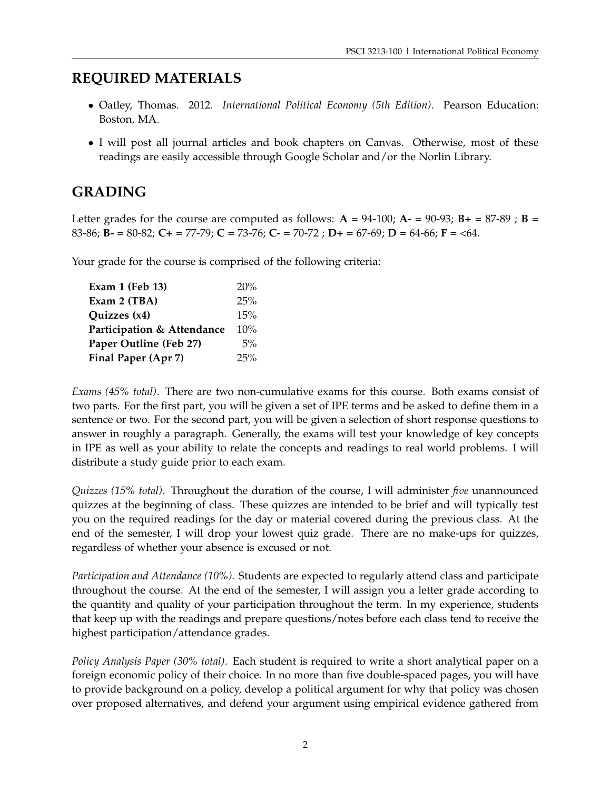# **REQUIRED MATERIALS**

- Oatley, Thomas. 2012. *International Political Economy (5th Edition)*. Pearson Education: Boston, MA.
- I will post all journal articles and book chapters on Canvas. Otherwise, most of these readings are easily accessible through Google Scholar and/or the Norlin Library.

# **GRADING**

Letter grades for the course are computed as follows:  $A = 94-100$ ;  $A = 90-93$ ;  $B = 87-89$ ;  $B =$ 83-86; **B-** = 80-82; **C+** = 77-79; **C** = 73-76; **C-** = 70-72 ; **D+** = 67-69; **D** = 64-66; **F** = <64.

Your grade for the course is comprised of the following criteria:

| Exam 1 (Feb 13)            | 20% |
|----------------------------|-----|
| Exam 2 (TBA)               | 25% |
| Quizzes (x4)               | 15% |
| Participation & Attendance | 10% |
| Paper Outline (Feb 27)     | 5%  |
| Final Paper (Apr 7)        | 25% |

*Exams (45% total)*. There are two non-cumulative exams for this course. Both exams consist of two parts. For the first part, you will be given a set of IPE terms and be asked to define them in a sentence or two. For the second part, you will be given a selection of short response questions to answer in roughly a paragraph. Generally, the exams will test your knowledge of key concepts in IPE as well as your ability to relate the concepts and readings to real world problems. I will distribute a study guide prior to each exam.

*Quizzes (15% total)*. Throughout the duration of the course, I will administer *five* unannounced quizzes at the beginning of class. These quizzes are intended to be brief and will typically test you on the required readings for the day or material covered during the previous class. At the end of the semester, I will drop your lowest quiz grade. There are no make-ups for quizzes, regardless of whether your absence is excused or not.

*Participation and Attendance (10%).* Students are expected to regularly attend class and participate throughout the course. At the end of the semester, I will assign you a letter grade according to the quantity and quality of your participation throughout the term. In my experience, students that keep up with the readings and prepare questions/notes before each class tend to receive the highest participation/attendance grades.

*Policy Analysis Paper (30% total)*. Each student is required to write a short analytical paper on a foreign economic policy of their choice. In no more than five double-spaced pages, you will have to provide background on a policy, develop a political argument for why that policy was chosen over proposed alternatives, and defend your argument using empirical evidence gathered from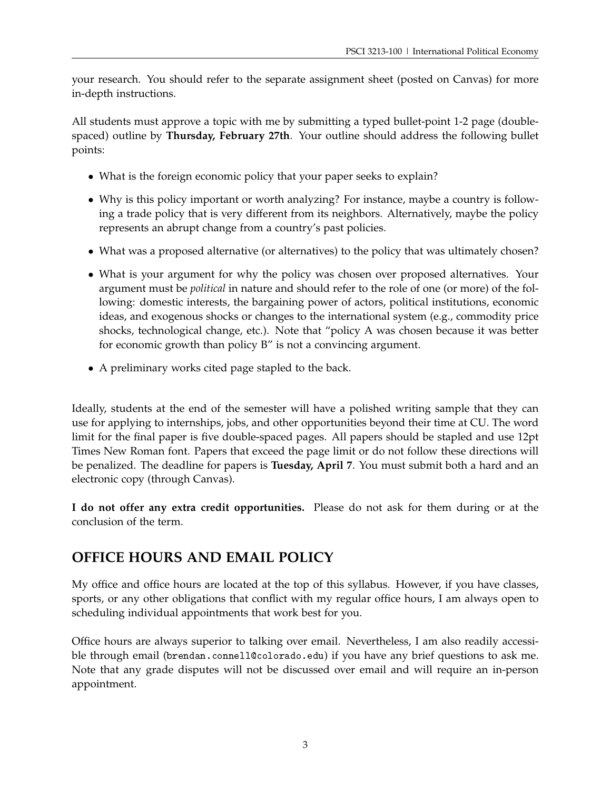your research. You should refer to the separate assignment sheet (posted on Canvas) for more in-depth instructions.

All students must approve a topic with me by submitting a typed bullet-point 1-2 page (doublespaced) outline by **Thursday, February 27th**. Your outline should address the following bullet points:

- What is the foreign economic policy that your paper seeks to explain?
- Why is this policy important or worth analyzing? For instance, maybe a country is following a trade policy that is very different from its neighbors. Alternatively, maybe the policy represents an abrupt change from a country's past policies.
- What was a proposed alternative (or alternatives) to the policy that was ultimately chosen?
- What is your argument for why the policy was chosen over proposed alternatives. Your argument must be *political* in nature and should refer to the role of one (or more) of the following: domestic interests, the bargaining power of actors, political institutions, economic ideas, and exogenous shocks or changes to the international system (e.g., commodity price shocks, technological change, etc.). Note that "policy A was chosen because it was better for economic growth than policy B" is not a convincing argument.
- A preliminary works cited page stapled to the back.

Ideally, students at the end of the semester will have a polished writing sample that they can use for applying to internships, jobs, and other opportunities beyond their time at CU. The word limit for the final paper is five double-spaced pages. All papers should be stapled and use 12pt Times New Roman font. Papers that exceed the page limit or do not follow these directions will be penalized. The deadline for papers is **Tuesday, April 7**. You must submit both a hard and an electronic copy (through Canvas).

**I do not offer any extra credit opportunities.** Please do not ask for them during or at the conclusion of the term.

# **OFFICE HOURS AND EMAIL POLICY**

My office and office hours are located at the top of this syllabus. However, if you have classes, sports, or any other obligations that conflict with my regular office hours, I am always open to scheduling individual appointments that work best for you.

Office hours are always superior to talking over email. Nevertheless, I am also readily accessible through email (brendan.connell@colorado.edu) if you have any brief questions to ask me. Note that any grade disputes will not be discussed over email and will require an in-person appointment.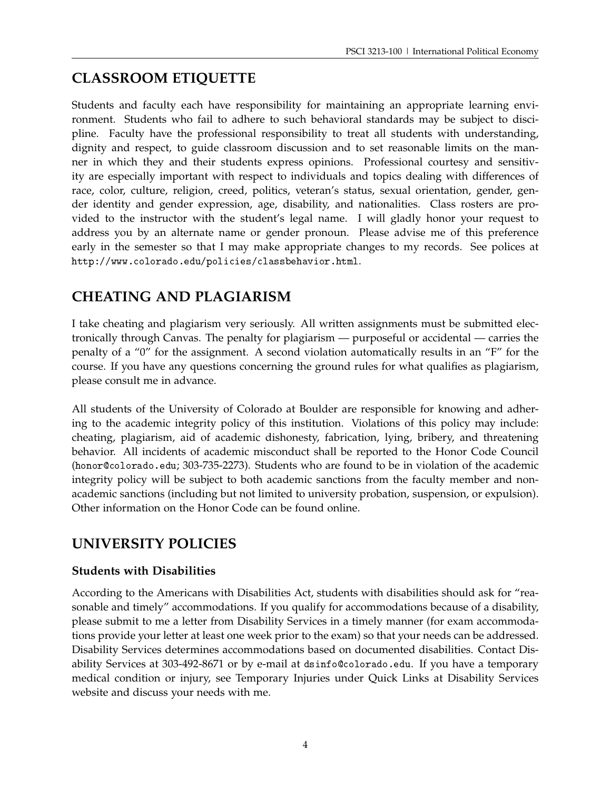# **CLASSROOM ETIQUETTE**

Students and faculty each have responsibility for maintaining an appropriate learning environment. Students who fail to adhere to such behavioral standards may be subject to discipline. Faculty have the professional responsibility to treat all students with understanding, dignity and respect, to guide classroom discussion and to set reasonable limits on the manner in which they and their students express opinions. Professional courtesy and sensitivity are especially important with respect to individuals and topics dealing with differences of race, color, culture, religion, creed, politics, veteran's status, sexual orientation, gender, gender identity and gender expression, age, disability, and nationalities. Class rosters are provided to the instructor with the student's legal name. I will gladly honor your request to address you by an alternate name or gender pronoun. Please advise me of this preference early in the semester so that I may make appropriate changes to my records. See polices at http://www.colorado.edu/policies/classbehavior.html.

# **CHEATING AND PLAGIARISM**

I take cheating and plagiarism very seriously. All written assignments must be submitted electronically through Canvas. The penalty for plagiarism — purposeful or accidental — carries the penalty of a "0" for the assignment. A second violation automatically results in an "F" for the course. If you have any questions concerning the ground rules for what qualifies as plagiarism, please consult me in advance.

All students of the University of Colorado at Boulder are responsible for knowing and adhering to the academic integrity policy of this institution. Violations of this policy may include: cheating, plagiarism, aid of academic dishonesty, fabrication, lying, bribery, and threatening behavior. All incidents of academic misconduct shall be reported to the Honor Code Council (honor@colorado.edu; 303-735-2273). Students who are found to be in violation of the academic integrity policy will be subject to both academic sanctions from the faculty member and nonacademic sanctions (including but not limited to university probation, suspension, or expulsion). Other information on the Honor Code can be found online.

# **UNIVERSITY POLICIES**

# **Students with Disabilities**

According to the Americans with Disabilities Act, students with disabilities should ask for "reasonable and timely" accommodations. If you qualify for accommodations because of a disability, please submit to me a letter from Disability Services in a timely manner (for exam accommodations provide your letter at least one week prior to the exam) so that your needs can be addressed. Disability Services determines accommodations based on documented disabilities. Contact Disability Services at 303-492-8671 or by e-mail at dsinfo@colorado.edu. If you have a temporary medical condition or injury, see Temporary Injuries under Quick Links at Disability Services website and discuss your needs with me.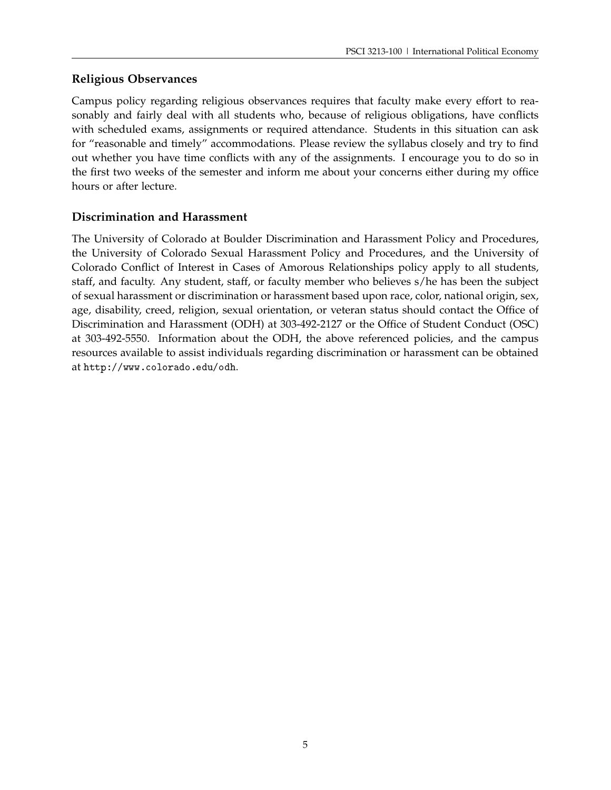# **Religious Observances**

Campus policy regarding religious observances requires that faculty make every effort to reasonably and fairly deal with all students who, because of religious obligations, have conflicts with scheduled exams, assignments or required attendance. Students in this situation can ask for "reasonable and timely" accommodations. Please review the syllabus closely and try to find out whether you have time conflicts with any of the assignments. I encourage you to do so in the first two weeks of the semester and inform me about your concerns either during my office hours or after lecture.

# **Discrimination and Harassment**

The University of Colorado at Boulder Discrimination and Harassment Policy and Procedures, the University of Colorado Sexual Harassment Policy and Procedures, and the University of Colorado Conflict of Interest in Cases of Amorous Relationships policy apply to all students, staff, and faculty. Any student, staff, or faculty member who believes s/he has been the subject of sexual harassment or discrimination or harassment based upon race, color, national origin, sex, age, disability, creed, religion, sexual orientation, or veteran status should contact the Office of Discrimination and Harassment (ODH) at 303-492-2127 or the Office of Student Conduct (OSC) at 303-492-5550. Information about the ODH, the above referenced policies, and the campus resources available to assist individuals regarding discrimination or harassment can be obtained at http://www.colorado.edu/odh.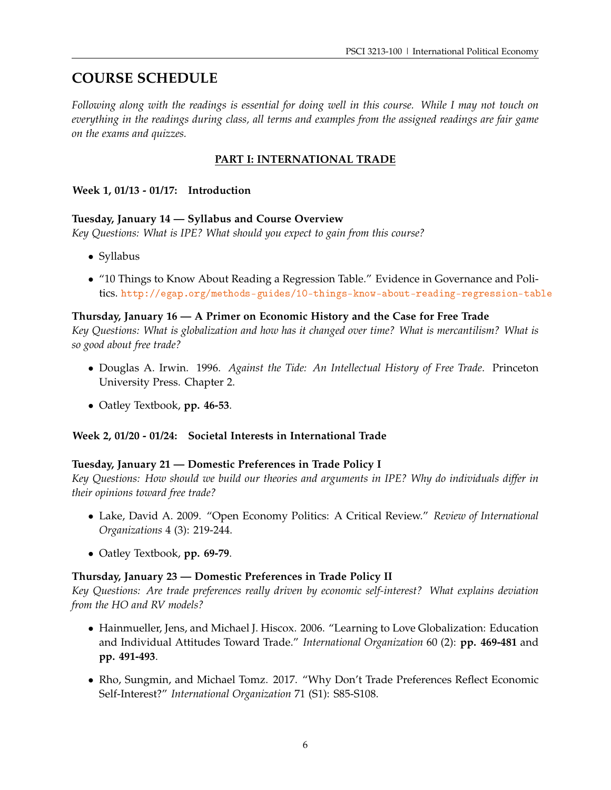# **COURSE SCHEDULE**

*Following along with the readings is essential for doing well in this course. While I may not touch on everything in the readings during class, all terms and examples from the assigned readings are fair game on the exams and quizzes.*

# **PART I: INTERNATIONAL TRADE**

### **Week 1, 01/13 - 01/17: Introduction**

#### **Tuesday, January 14 — Syllabus and Course Overview**

*Key Questions: What is IPE? What should you expect to gain from this course?*

- Syllabus
- "10 Things to Know About Reading a Regression Table." Evidence in Governance and Politics. <http://egap.org/methods-guides/10-things-know-about-reading-regression-table>

# **Thursday, January 16 — A Primer on Economic History and the Case for Free Trade**

*Key Questions: What is globalization and how has it changed over time? What is mercantilism? What is so good about free trade?*

- Douglas A. Irwin. 1996. *Against the Tide: An Intellectual History of Free Trade*. Princeton University Press. Chapter 2.
- Oatley Textbook, **pp. 46-53**.

#### **Week 2, 01/20 - 01/24: Societal Interests in International Trade**

#### **Tuesday, January 21 — Domestic Preferences in Trade Policy I**

*Key Questions: How should we build our theories and arguments in IPE? Why do individuals differ in their opinions toward free trade?*

- Lake, David A. 2009. "Open Economy Politics: A Critical Review." *Review of International Organizations* 4 (3): 219-244.
- Oatley Textbook, **pp. 69-79**.

#### **Thursday, January 23 — Domestic Preferences in Trade Policy II**

*Key Questions: Are trade preferences really driven by economic self-interest? What explains deviation from the HO and RV models?*

- Hainmueller, Jens, and Michael J. Hiscox. 2006. "Learning to Love Globalization: Education and Individual Attitudes Toward Trade." *International Organization* 60 (2): **pp. 469-481** and **pp. 491-493**.
- Rho, Sungmin, and Michael Tomz. 2017. "Why Don't Trade Preferences Reflect Economic Self-Interest?" *International Organization* 71 (S1): S85-S108.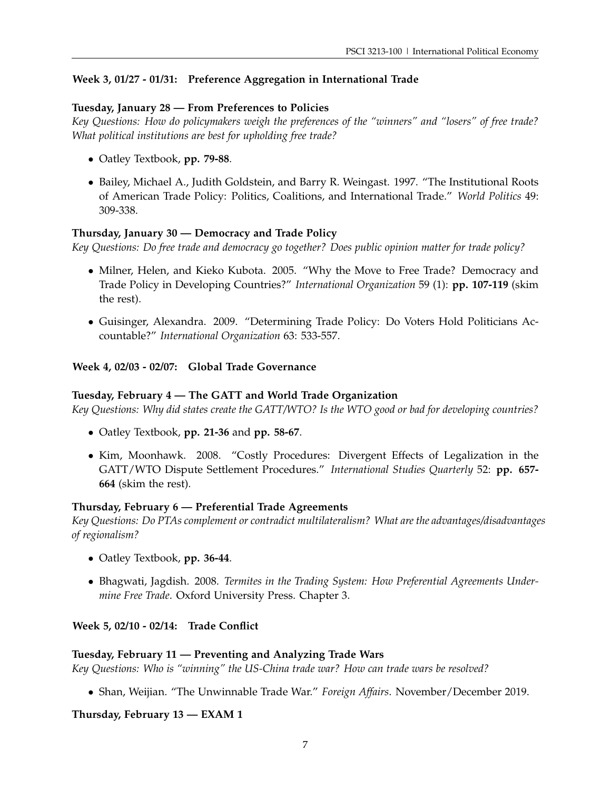# **Week 3, 01/27 - 01/31: Preference Aggregation in International Trade**

### **Tuesday, January 28 — From Preferences to Policies**

*Key Questions: How do policymakers weigh the preferences of the "winners" and "losers" of free trade? What political institutions are best for upholding free trade?*

- Oatley Textbook, **pp. 79-88**.
- Bailey, Michael A., Judith Goldstein, and Barry R. Weingast. 1997. "The Institutional Roots of American Trade Policy: Politics, Coalitions, and International Trade." *World Politics* 49: 309-338.

# **Thursday, January 30 — Democracy and Trade Policy**

*Key Questions: Do free trade and democracy go together? Does public opinion matter for trade policy?*

- Milner, Helen, and Kieko Kubota. 2005. "Why the Move to Free Trade? Democracy and Trade Policy in Developing Countries?" *International Organization* 59 (1): **pp. 107-119** (skim the rest).
- Guisinger, Alexandra. 2009. "Determining Trade Policy: Do Voters Hold Politicians Accountable?" *International Organization* 63: 533-557.

#### **Week 4, 02/03 - 02/07: Global Trade Governance**

#### **Tuesday, February 4 — The GATT and World Trade Organization**

*Key Questions: Why did states create the GATT/WTO? Is the WTO good or bad for developing countries?*

- Oatley Textbook, **pp. 21-36** and **pp. 58-67**.
- Kim, Moonhawk. 2008. "Costly Procedures: Divergent Effects of Legalization in the GATT/WTO Dispute Settlement Procedures." *International Studies Quarterly* 52: **pp. 657- 664** (skim the rest).

#### **Thursday, February 6 — Preferential Trade Agreements**

*Key Questions: Do PTAs complement or contradict multilateralism? What are the advantages/disadvantages of regionalism?*

- Oatley Textbook, **pp. 36-44**.
- Bhagwati, Jagdish. 2008. *Termites in the Trading System: How Preferential Agreements Undermine Free Trade*. Oxford University Press. Chapter 3.

#### **Week 5, 02/10 - 02/14: Trade Conflict**

#### **Tuesday, February 11 — Preventing and Analyzing Trade Wars**

*Key Questions: Who is "winning" the US-China trade war? How can trade wars be resolved?*

• Shan, Weijian. "The Unwinnable Trade War." *Foreign Affairs*. November/December 2019.

#### **Thursday, February 13 — EXAM 1**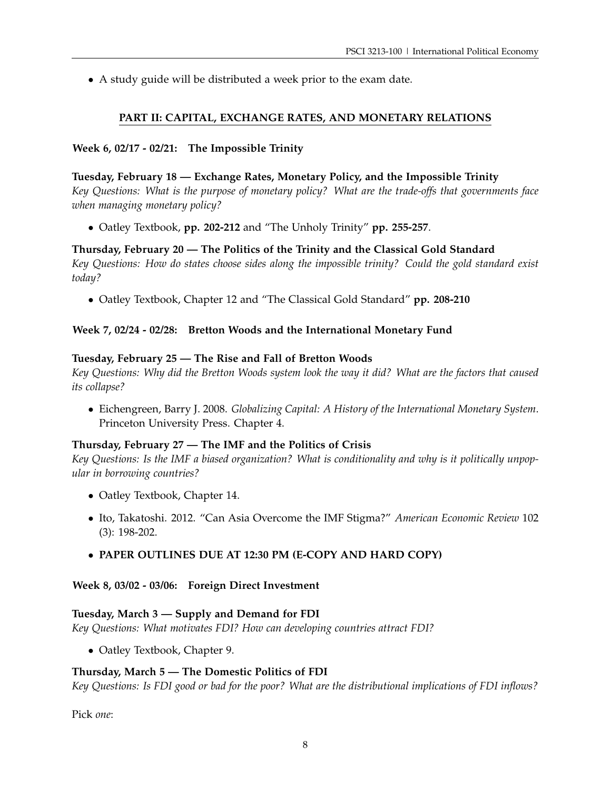• A study guide will be distributed a week prior to the exam date.

# **PART II: CAPITAL, EXCHANGE RATES, AND MONETARY RELATIONS**

# **Week 6, 02/17 - 02/21: The Impossible Trinity**

# **Tuesday, February 18 — Exchange Rates, Monetary Policy, and the Impossible Trinity**

*Key Questions: What is the purpose of monetary policy? What are the trade-offs that governments face when managing monetary policy?*

• Oatley Textbook, **pp. 202-212** and "The Unholy Trinity" **pp. 255-257**.

# **Thursday, February 20 — The Politics of the Trinity and the Classical Gold Standard** *Key Questions: How do states choose sides along the impossible trinity? Could the gold standard exist today?*

• Oatley Textbook, Chapter 12 and "The Classical Gold Standard" **pp. 208-210**

# **Week 7, 02/24 - 02/28: Bretton Woods and the International Monetary Fund**

#### **Tuesday, February 25 — The Rise and Fall of Bretton Woods**

*Key Questions: Why did the Bretton Woods system look the way it did? What are the factors that caused its collapse?*

• Eichengreen, Barry J. 2008. *Globalizing Capital: A History of the International Monetary System*. Princeton University Press. Chapter 4.

#### **Thursday, February 27 — The IMF and the Politics of Crisis**

*Key Questions: Is the IMF a biased organization? What is conditionality and why is it politically unpopular in borrowing countries?*

- Oatley Textbook, Chapter 14.
- Ito, Takatoshi. 2012. "Can Asia Overcome the IMF Stigma?" *American Economic Review* 102 (3): 198-202.

# • **PAPER OUTLINES DUE AT 12:30 PM (E-COPY AND HARD COPY)**

**Week 8, 03/02 - 03/06: Foreign Direct Investment**

#### **Tuesday, March 3 — Supply and Demand for FDI**

*Key Questions: What motivates FDI? How can developing countries attract FDI?*

• Oatley Textbook, Chapter 9.

#### **Thursday, March 5 — The Domestic Politics of FDI**

*Key Questions: Is FDI good or bad for the poor? What are the distributional implications of FDI inflows?*

Pick *one*: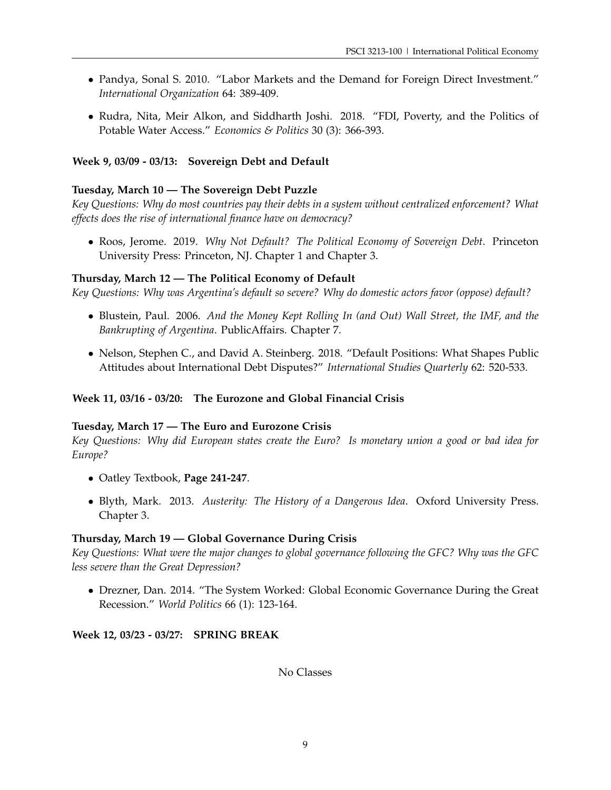- Pandya, Sonal S. 2010. "Labor Markets and the Demand for Foreign Direct Investment." *International Organization* 64: 389-409.
- Rudra, Nita, Meir Alkon, and Siddharth Joshi. 2018. "FDI, Poverty, and the Politics of Potable Water Access." *Economics & Politics* 30 (3): 366-393.

#### **Week 9, 03/09 - 03/13: Sovereign Debt and Default**

#### **Tuesday, March 10 — The Sovereign Debt Puzzle**

*Key Questions: Why do most countries pay their debts in a system without centralized enforcement? What effects does the rise of international finance have on democracy?*

• Roos, Jerome. 2019. *Why Not Default? The Political Economy of Sovereign Debt*. Princeton University Press: Princeton, NJ. Chapter 1 and Chapter 3.

## **Thursday, March 12 — The Political Economy of Default**

*Key Questions: Why was Argentina's default so severe? Why do domestic actors favor (oppose) default?*

- Blustein, Paul. 2006. *And the Money Kept Rolling In (and Out) Wall Street, the IMF, and the Bankrupting of Argentina*. PublicAffairs. Chapter 7.
- Nelson, Stephen C., and David A. Steinberg. 2018. "Default Positions: What Shapes Public Attitudes about International Debt Disputes?" *International Studies Quarterly* 62: 520-533.

#### **Week 11, 03/16 - 03/20: The Eurozone and Global Financial Crisis**

#### **Tuesday, March 17 — The Euro and Eurozone Crisis**

*Key Questions: Why did European states create the Euro? Is monetary union a good or bad idea for Europe?*

- Oatley Textbook, **Page 241-247**.
- Blyth, Mark. 2013. *Austerity: The History of a Dangerous Idea*. Oxford University Press. Chapter 3.

#### **Thursday, March 19 — Global Governance During Crisis**

*Key Questions: What were the major changes to global governance following the GFC? Why was the GFC less severe than the Great Depression?*

• Drezner, Dan. 2014. "The System Worked: Global Economic Governance During the Great Recession." *World Politics* 66 (1): 123-164.

#### **Week 12, 03/23 - 03/27: SPRING BREAK**

No Classes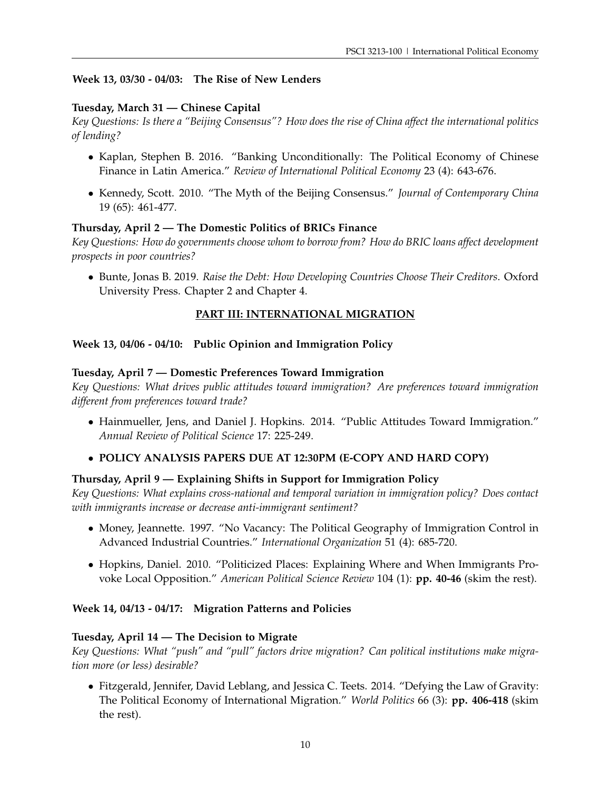## **Week 13, 03/30 - 04/03: The Rise of New Lenders**

### **Tuesday, March 31 — Chinese Capital**

*Key Questions: Is there a "Beijing Consensus"? How does the rise of China affect the international politics of lending?*

- Kaplan, Stephen B. 2016. "Banking Unconditionally: The Political Economy of Chinese Finance in Latin America." *Review of International Political Economy* 23 (4): 643-676.
- Kennedy, Scott. 2010. "The Myth of the Beijing Consensus." *Journal of Contemporary China* 19 (65): 461-477.

#### **Thursday, April 2 — The Domestic Politics of BRICs Finance**

*Key Questions: How do governments choose whom to borrow from? How do BRIC loans affect development prospects in poor countries?*

• Bunte, Jonas B. 2019. *Raise the Debt: How Developing Countries Choose Their Creditors*. Oxford University Press. Chapter 2 and Chapter 4.

# **PART III: INTERNATIONAL MIGRATION**

#### **Week 13, 04/06 - 04/10: Public Opinion and Immigration Policy**

#### **Tuesday, April 7 — Domestic Preferences Toward Immigration**

*Key Questions: What drives public attitudes toward immigration? Are preferences toward immigration different from preferences toward trade?*

• Hainmueller, Jens, and Daniel J. Hopkins. 2014. "Public Attitudes Toward Immigration." *Annual Review of Political Science* 17: 225-249.

#### • **POLICY ANALYSIS PAPERS DUE AT 12:30PM (E-COPY AND HARD COPY)**

#### **Thursday, April 9 — Explaining Shifts in Support for Immigration Policy**

*Key Questions: What explains cross-national and temporal variation in immigration policy? Does contact with immigrants increase or decrease anti-immigrant sentiment?*

- Money, Jeannette. 1997. "No Vacancy: The Political Geography of Immigration Control in Advanced Industrial Countries." *International Organization* 51 (4): 685-720.
- Hopkins, Daniel. 2010. "Politicized Places: Explaining Where and When Immigrants Provoke Local Opposition." *American Political Science Review* 104 (1): **pp. 40-46** (skim the rest).

#### **Week 14, 04/13 - 04/17: Migration Patterns and Policies**

#### **Tuesday, April 14 — The Decision to Migrate**

*Key Questions: What "push" and "pull" factors drive migration? Can political institutions make migration more (or less) desirable?*

• Fitzgerald, Jennifer, David Leblang, and Jessica C. Teets. 2014. "Defying the Law of Gravity: The Political Economy of International Migration." *World Politics* 66 (3): **pp. 406-418** (skim the rest).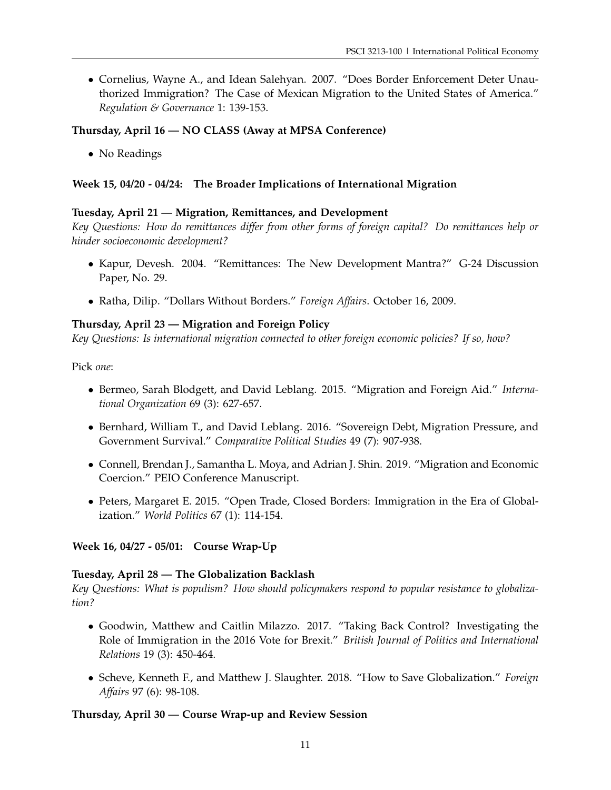• Cornelius, Wayne A., and Idean Salehyan. 2007. "Does Border Enforcement Deter Unauthorized Immigration? The Case of Mexican Migration to the United States of America." *Regulation & Governance* 1: 139-153.

### **Thursday, April 16 — NO CLASS (Away at MPSA Conference)**

• No Readings

# **Week 15, 04/20 - 04/24: The Broader Implications of International Migration**

#### **Tuesday, April 21 — Migration, Remittances, and Development**

*Key Questions: How do remittances differ from other forms of foreign capital? Do remittances help or hinder socioeconomic development?*

- Kapur, Devesh. 2004. "Remittances: The New Development Mantra?" G-24 Discussion Paper, No. 29.
- Ratha, Dilip. "Dollars Without Borders." *Foreign Affairs*. October 16, 2009.

#### **Thursday, April 23 — Migration and Foreign Policy**

*Key Questions: Is international migration connected to other foreign economic policies? If so, how?*

Pick *one*:

- Bermeo, Sarah Blodgett, and David Leblang. 2015. "Migration and Foreign Aid." *International Organization* 69 (3): 627-657.
- Bernhard, William T., and David Leblang. 2016. "Sovereign Debt, Migration Pressure, and Government Survival." *Comparative Political Studies* 49 (7): 907-938.
- Connell, Brendan J., Samantha L. Moya, and Adrian J. Shin. 2019. "Migration and Economic Coercion." PEIO Conference Manuscript.
- Peters, Margaret E. 2015. "Open Trade, Closed Borders: Immigration in the Era of Globalization." *World Politics* 67 (1): 114-154.

**Week 16, 04/27 - 05/01: Course Wrap-Up**

#### **Tuesday, April 28 — The Globalization Backlash**

*Key Questions: What is populism? How should policymakers respond to popular resistance to globalization?*

- Goodwin, Matthew and Caitlin Milazzo. 2017. "Taking Back Control? Investigating the Role of Immigration in the 2016 Vote for Brexit." *British Journal of Politics and International Relations* 19 (3): 450-464.
- Scheve, Kenneth F., and Matthew J. Slaughter. 2018. "How to Save Globalization." *Foreign Affairs* 97 (6): 98-108.

#### **Thursday, April 30 — Course Wrap-up and Review Session**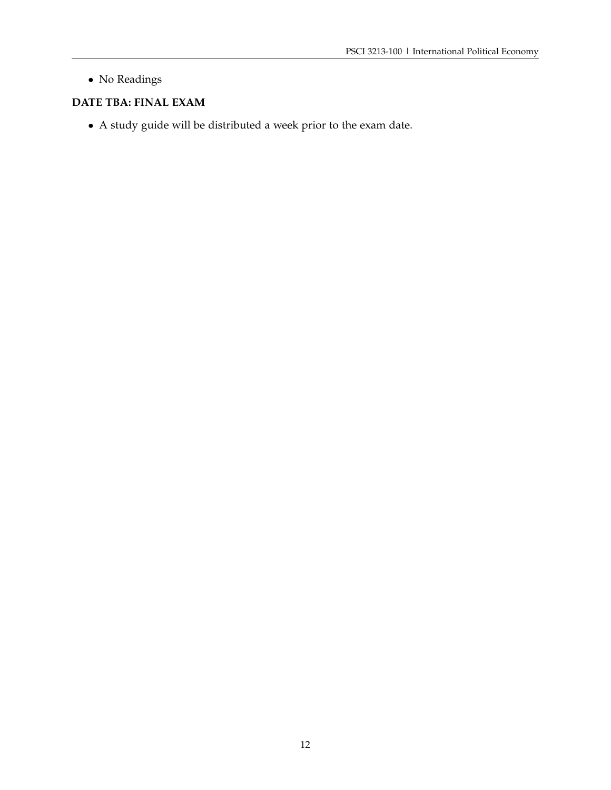• No Readings

# **DATE TBA: FINAL EXAM**

• A study guide will be distributed a week prior to the exam date.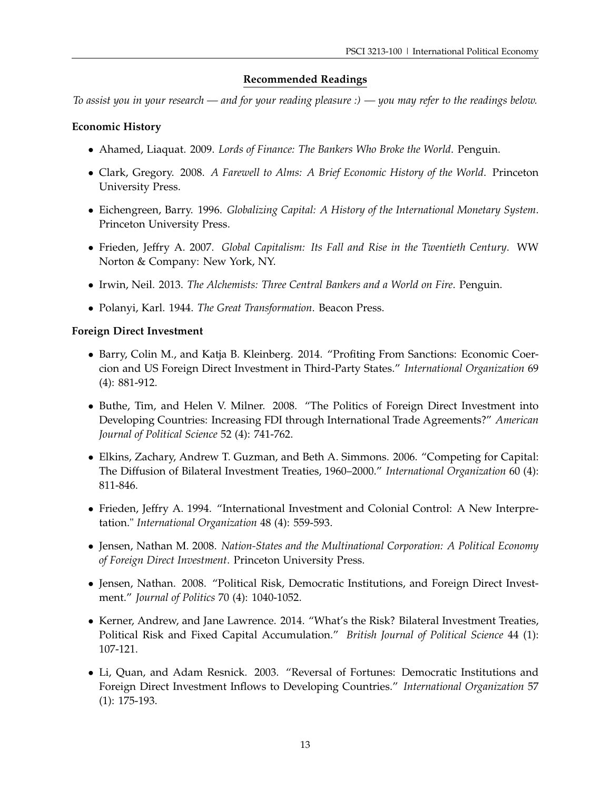# **Recommended Readings**

*To assist you in your research — and for your reading pleasure :) — you may refer to the readings below.*

### **Economic History**

- Ahamed, Liaquat. 2009. *Lords of Finance: The Bankers Who Broke the World*. Penguin.
- Clark, Gregory. 2008. *A Farewell to Alms: A Brief Economic History of the World*. Princeton University Press.
- Eichengreen, Barry. 1996. *Globalizing Capital: A History of the International Monetary System*. Princeton University Press.
- Frieden, Jeffry A. 2007. *Global Capitalism: Its Fall and Rise in the Twentieth Century*. WW Norton & Company: New York, NY.
- Irwin, Neil. 2013. *The Alchemists: Three Central Bankers and a World on Fire*. Penguin.
- Polanyi, Karl. 1944. *The Great Transformation*. Beacon Press.

#### **Foreign Direct Investment**

- Barry, Colin M., and Katja B. Kleinberg. 2014. "Profiting From Sanctions: Economic Coercion and US Foreign Direct Investment in Third-Party States." *International Organization* 69 (4): 881-912.
- Buthe, Tim, and Helen V. Milner. 2008. "The Politics of Foreign Direct Investment into Developing Countries: Increasing FDI through International Trade Agreements?" *American Journal of Political Science* 52 (4): 741-762.
- Elkins, Zachary, Andrew T. Guzman, and Beth A. Simmons. 2006. "Competing for Capital: The Diffusion of Bilateral Investment Treaties, 1960–2000." *International Organization* 60 (4): 811-846.
- Frieden, Jeffry A. 1994. "International Investment and Colonial Control: A New Interpretation." *International Organization* 48 (4): 559-593.
- Jensen, Nathan M. 2008. *Nation-States and the Multinational Corporation: A Political Economy of Foreign Direct Investment*. Princeton University Press.
- Jensen, Nathan. 2008. "Political Risk, Democratic Institutions, and Foreign Direct Investment." *Journal of Politics* 70 (4): 1040-1052.
- Kerner, Andrew, and Jane Lawrence. 2014. "What's the Risk? Bilateral Investment Treaties, Political Risk and Fixed Capital Accumulation." *British Journal of Political Science* 44 (1): 107-121.
- Li, Quan, and Adam Resnick. 2003. "Reversal of Fortunes: Democratic Institutions and Foreign Direct Investment Inflows to Developing Countries." *International Organization* 57 (1): 175-193.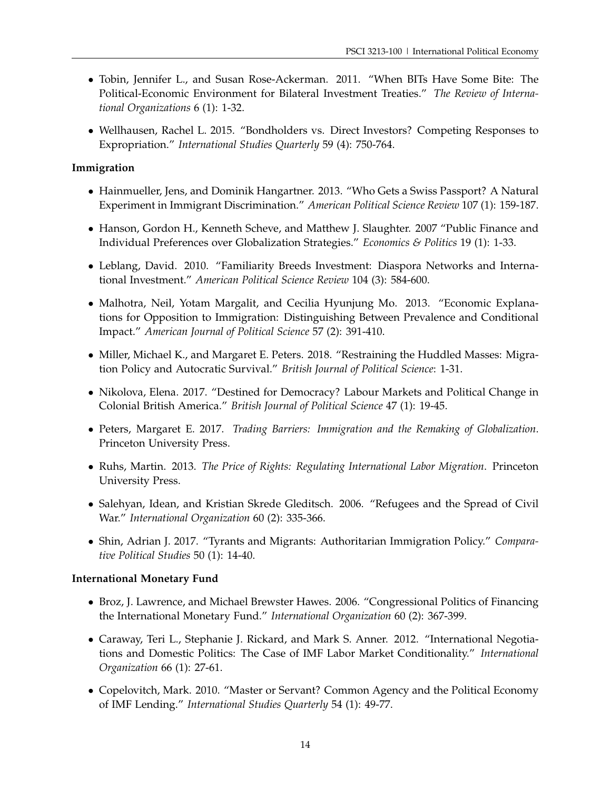- Tobin, Jennifer L., and Susan Rose-Ackerman. 2011. "When BITs Have Some Bite: The Political-Economic Environment for Bilateral Investment Treaties." *The Review of International Organizations* 6 (1): 1-32.
- Wellhausen, Rachel L. 2015. "Bondholders vs. Direct Investors? Competing Responses to Expropriation." *International Studies Quarterly* 59 (4): 750-764.

# **Immigration**

- Hainmueller, Jens, and Dominik Hangartner. 2013. "Who Gets a Swiss Passport? A Natural Experiment in Immigrant Discrimination." *American Political Science Review* 107 (1): 159-187.
- Hanson, Gordon H., Kenneth Scheve, and Matthew J. Slaughter. 2007 "Public Finance and Individual Preferences over Globalization Strategies." *Economics & Politics* 19 (1): 1-33.
- Leblang, David. 2010. "Familiarity Breeds Investment: Diaspora Networks and International Investment." *American Political Science Review* 104 (3): 584-600.
- Malhotra, Neil, Yotam Margalit, and Cecilia Hyunjung Mo. 2013. "Economic Explanations for Opposition to Immigration: Distinguishing Between Prevalence and Conditional Impact." *American Journal of Political Science* 57 (2): 391-410.
- Miller, Michael K., and Margaret E. Peters. 2018. "Restraining the Huddled Masses: Migration Policy and Autocratic Survival." *British Journal of Political Science*: 1-31.
- Nikolova, Elena. 2017. "Destined for Democracy? Labour Markets and Political Change in Colonial British America." *British Journal of Political Science* 47 (1): 19-45.
- Peters, Margaret E. 2017. *Trading Barriers: Immigration and the Remaking of Globalization*. Princeton University Press.
- Ruhs, Martin. 2013. *The Price of Rights: Regulating International Labor Migration*. Princeton University Press.
- Salehyan, Idean, and Kristian Skrede Gleditsch. 2006. "Refugees and the Spread of Civil War." *International Organization* 60 (2): 335-366.
- Shin, Adrian J. 2017. "Tyrants and Migrants: Authoritarian Immigration Policy." *Comparative Political Studies* 50 (1): 14-40.

# **International Monetary Fund**

- Broz, J. Lawrence, and Michael Brewster Hawes. 2006. "Congressional Politics of Financing the International Monetary Fund." *International Organization* 60 (2): 367-399.
- Caraway, Teri L., Stephanie J. Rickard, and Mark S. Anner. 2012. "International Negotiations and Domestic Politics: The Case of IMF Labor Market Conditionality." *International Organization* 66 (1): 27-61.
- Copelovitch, Mark. 2010. "Master or Servant? Common Agency and the Political Economy of IMF Lending." *International Studies Quarterly* 54 (1): 49-77.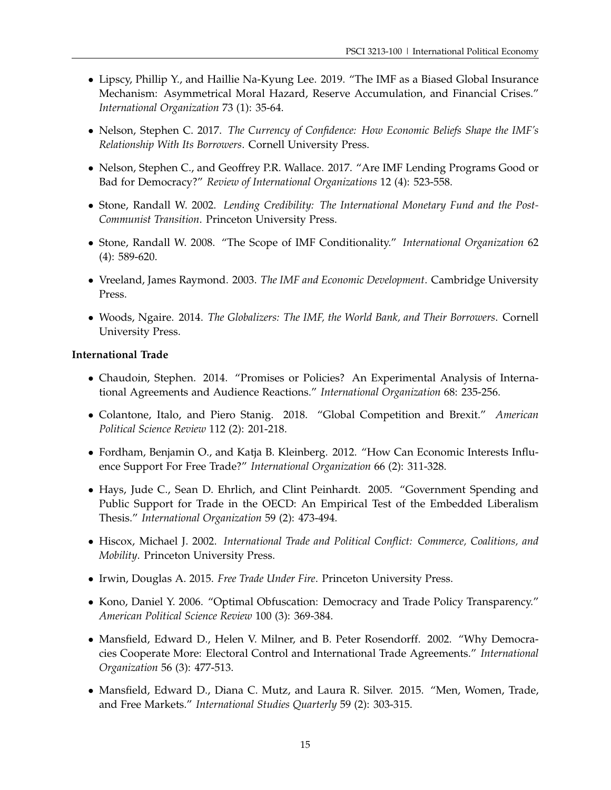- Lipscy, Phillip Y., and Haillie Na-Kyung Lee. 2019. "The IMF as a Biased Global Insurance Mechanism: Asymmetrical Moral Hazard, Reserve Accumulation, and Financial Crises." *International Organization* 73 (1): 35-64.
- Nelson, Stephen C. 2017. *The Currency of Confidence: How Economic Beliefs Shape the IMF's Relationship With Its Borrowers*. Cornell University Press.
- Nelson, Stephen C., and Geoffrey P.R. Wallace. 2017. "Are IMF Lending Programs Good or Bad for Democracy?" *Review of International Organizations* 12 (4): 523-558.
- Stone, Randall W. 2002. *Lending Credibility: The International Monetary Fund and the Post-Communist Transition*. Princeton University Press.
- Stone, Randall W. 2008. "The Scope of IMF Conditionality." *International Organization* 62 (4): 589-620.
- Vreeland, James Raymond. 2003. *The IMF and Economic Development*. Cambridge University Press.
- Woods, Ngaire. 2014. *The Globalizers: The IMF, the World Bank, and Their Borrowers*. Cornell University Press.

#### **International Trade**

- Chaudoin, Stephen. 2014. "Promises or Policies? An Experimental Analysis of International Agreements and Audience Reactions." *International Organization* 68: 235-256.
- Colantone, Italo, and Piero Stanig. 2018. "Global Competition and Brexit." *American Political Science Review* 112 (2): 201-218.
- Fordham, Benjamin O., and Katja B. Kleinberg. 2012. "How Can Economic Interests Influence Support For Free Trade?" *International Organization* 66 (2): 311-328.
- Hays, Jude C., Sean D. Ehrlich, and Clint Peinhardt. 2005. "Government Spending and Public Support for Trade in the OECD: An Empirical Test of the Embedded Liberalism Thesis." *International Organization* 59 (2): 473-494.
- Hiscox, Michael J. 2002. *International Trade and Political Conflict: Commerce, Coalitions, and Mobility*. Princeton University Press.
- Irwin, Douglas A. 2015. *Free Trade Under Fire*. Princeton University Press.
- Kono, Daniel Y. 2006. "Optimal Obfuscation: Democracy and Trade Policy Transparency." *American Political Science Review* 100 (3): 369-384.
- Mansfield, Edward D., Helen V. Milner, and B. Peter Rosendorff. 2002. "Why Democracies Cooperate More: Electoral Control and International Trade Agreements." *International Organization* 56 (3): 477-513.
- Mansfield, Edward D., Diana C. Mutz, and Laura R. Silver. 2015. "Men, Women, Trade, and Free Markets." *International Studies Quarterly* 59 (2): 303-315.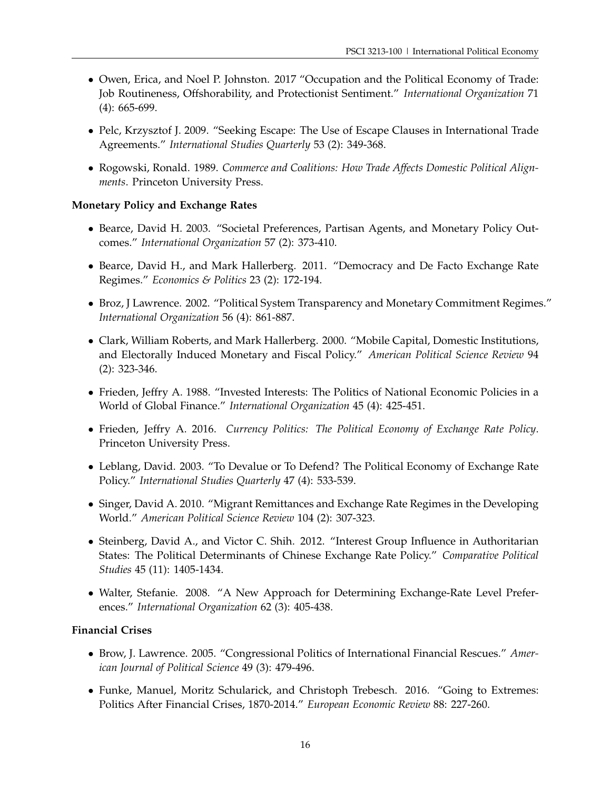- Owen, Erica, and Noel P. Johnston. 2017 "Occupation and the Political Economy of Trade: Job Routineness, Offshorability, and Protectionist Sentiment." *International Organization* 71 (4): 665-699.
- Pelc, Krzysztof J. 2009. "Seeking Escape: The Use of Escape Clauses in International Trade Agreements." *International Studies Quarterly* 53 (2): 349-368.
- Rogowski, Ronald. 1989. *Commerce and Coalitions: How Trade Affects Domestic Political Alignments*. Princeton University Press.

# **Monetary Policy and Exchange Rates**

- Bearce, David H. 2003. "Societal Preferences, Partisan Agents, and Monetary Policy Outcomes." *International Organization* 57 (2): 373-410.
- Bearce, David H., and Mark Hallerberg. 2011. "Democracy and De Facto Exchange Rate Regimes." *Economics & Politics* 23 (2): 172-194.
- Broz, J Lawrence. 2002. "Political System Transparency and Monetary Commitment Regimes." *International Organization* 56 (4): 861-887.
- Clark, William Roberts, and Mark Hallerberg. 2000. "Mobile Capital, Domestic Institutions, and Electorally Induced Monetary and Fiscal Policy." *American Political Science Review* 94 (2): 323-346.
- Frieden, Jeffry A. 1988. "Invested Interests: The Politics of National Economic Policies in a World of Global Finance." *International Organization* 45 (4): 425-451.
- Frieden, Jeffry A. 2016. *Currency Politics: The Political Economy of Exchange Rate Policy*. Princeton University Press.
- Leblang, David. 2003. "To Devalue or To Defend? The Political Economy of Exchange Rate Policy." *International Studies Quarterly* 47 (4): 533-539.
- Singer, David A. 2010. "Migrant Remittances and Exchange Rate Regimes in the Developing World." *American Political Science Review* 104 (2): 307-323.
- Steinberg, David A., and Victor C. Shih. 2012. "Interest Group Influence in Authoritarian States: The Political Determinants of Chinese Exchange Rate Policy." *Comparative Political Studies* 45 (11): 1405-1434.
- Walter, Stefanie. 2008. "A New Approach for Determining Exchange-Rate Level Preferences." *International Organization* 62 (3): 405-438.

#### **Financial Crises**

- Brow, J. Lawrence. 2005. "Congressional Politics of International Financial Rescues." *American Journal of Political Science* 49 (3): 479-496.
- Funke, Manuel, Moritz Schularick, and Christoph Trebesch. 2016. "Going to Extremes: Politics After Financial Crises, 1870-2014." *European Economic Review* 88: 227-260.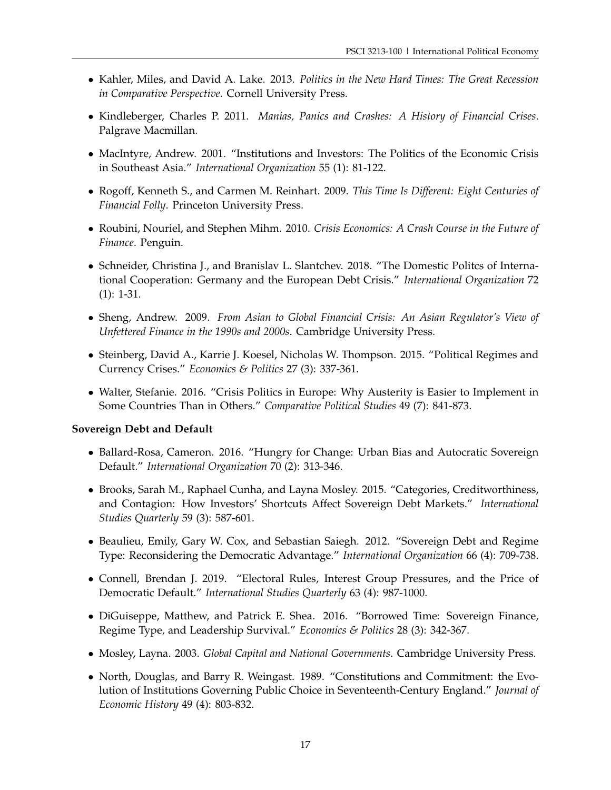- Kahler, Miles, and David A. Lake. 2013. *Politics in the New Hard Times: The Great Recession in Comparative Perspective*. Cornell University Press.
- Kindleberger, Charles P. 2011. *Manias, Panics and Crashes: A History of Financial Crises*. Palgrave Macmillan.
- MacIntyre, Andrew. 2001. "Institutions and Investors: The Politics of the Economic Crisis in Southeast Asia." *International Organization* 55 (1): 81-122.
- Rogoff, Kenneth S., and Carmen M. Reinhart. 2009. *This Time Is Different: Eight Centuries of Financial Folly*. Princeton University Press.
- Roubini, Nouriel, and Stephen Mihm. 2010. *Crisis Economics: A Crash Course in the Future of Finance*. Penguin.
- Schneider, Christina J., and Branislav L. Slantchev. 2018. "The Domestic Politcs of International Cooperation: Germany and the European Debt Crisis." *International Organization* 72 (1): 1-31.
- Sheng, Andrew. 2009. *From Asian to Global Financial Crisis: An Asian Regulator's View of Unfettered Finance in the 1990s and 2000s*. Cambridge University Press.
- Steinberg, David A., Karrie J. Koesel, Nicholas W. Thompson. 2015. "Political Regimes and Currency Crises." *Economics & Politics* 27 (3): 337-361.
- Walter, Stefanie. 2016. "Crisis Politics in Europe: Why Austerity is Easier to Implement in Some Countries Than in Others." *Comparative Political Studies* 49 (7): 841-873.

#### **Sovereign Debt and Default**

- Ballard-Rosa, Cameron. 2016. "Hungry for Change: Urban Bias and Autocratic Sovereign Default." *International Organization* 70 (2): 313-346.
- Brooks, Sarah M., Raphael Cunha, and Layna Mosley. 2015. "Categories, Creditworthiness, and Contagion: How Investors' Shortcuts Affect Sovereign Debt Markets." *International Studies Quarterly* 59 (3): 587-601.
- Beaulieu, Emily, Gary W. Cox, and Sebastian Saiegh. 2012. "Sovereign Debt and Regime Type: Reconsidering the Democratic Advantage." *International Organization* 66 (4): 709-738.
- Connell, Brendan J. 2019. "Electoral Rules, Interest Group Pressures, and the Price of Democratic Default." *International Studies Quarterly* 63 (4): 987-1000.
- DiGuiseppe, Matthew, and Patrick E. Shea. 2016. "Borrowed Time: Sovereign Finance, Regime Type, and Leadership Survival." *Economics & Politics* 28 (3): 342-367.
- Mosley, Layna. 2003. *Global Capital and National Governments*. Cambridge University Press.
- North, Douglas, and Barry R. Weingast. 1989. "Constitutions and Commitment: the Evolution of Institutions Governing Public Choice in Seventeenth-Century England." *Journal of Economic History* 49 (4): 803-832.